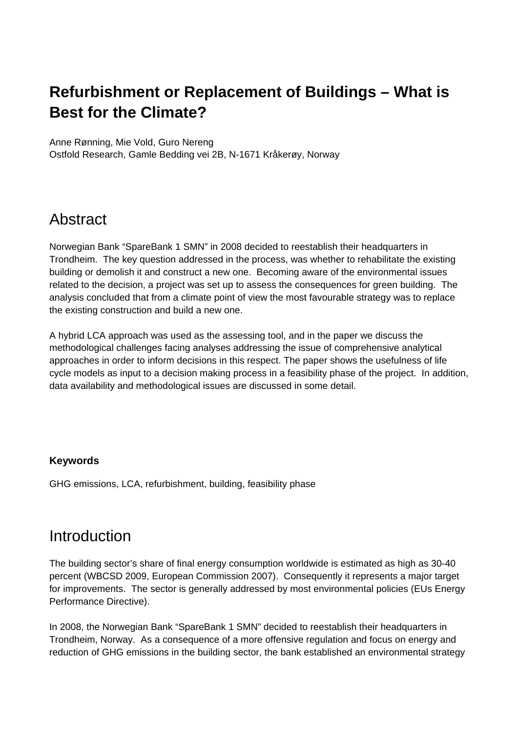# **Refurbishment or Replacement of Buildings – What is Best for the Climate?**

Anne Rønning, Mie Vold, Guro Nereng

Ostfold Research, Gamle Bedding vei 2B, N-1671 Kråkerøy, Norway

# Abstract

Norwegian Bank "SpareBank 1 SMN" in 2008 decided to reestablish their headquarters in Trondheim. The key question addressed in the process, was whether to rehabilitate the existing building or demolish it and construct a new one. Becoming aware of the environmental issues related to the decision, a project was set up to assess the consequences for green building. The analysis concluded that from a climate point of view the most favourable strategy was to replace the existing construction and build a new one.

A hybrid LCA approach was used as the assessing tool, and in the paper we discuss the methodological challenges facing analyses addressing the issue of comprehensive analytical approaches in order to inform decisions in this respect. The paper shows the usefulness of life cycle models as input to a decision making process in a feasibility phase of the project. In addition, data availability and methodological issues are discussed in some detail.

#### **Keywords**

GHG emissions, LCA, refurbishment, building, feasibility phase

### Introduction

The building sector's share of final energy consumption worldwide is estimated as high as 30-40 percent (WBCSD 2009, European Commission 2007). Consequently it represents a major target for improvements. The sector is generally addressed by most environmental policies (EUs Energy Performance Directive).

In 2008, the Norwegian Bank "SpareBank 1 SMN" decided to reestablish their headquarters in Trondheim, Norway. As a consequence of a more offensive regulation and focus on energy and reduction of GHG emissions in the building sector, the bank established an environmental strategy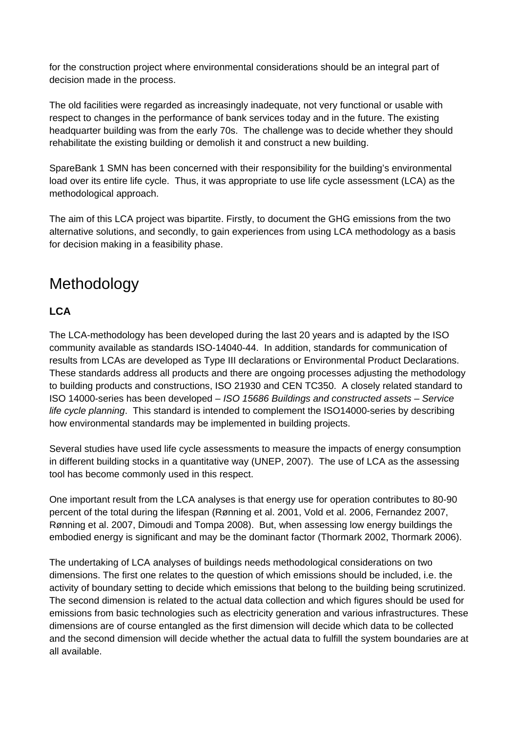for the construction project where environmental considerations should be an integral part of decision made in the process.

The old facilities were regarded as increasingly inadequate, not very functional or usable with respect to changes in the performance of bank services today and in the future. The existing headquarter building was from the early 70s. The challenge was to decide whether they should rehabilitate the existing building or demolish it and construct a new building.

SpareBank 1 SMN has been concerned with their responsibility for the building's environmental load over its entire life cycle. Thus, it was appropriate to use life cycle assessment (LCA) as the methodological approach.

The aim of this LCA project was bipartite. Firstly, to document the GHG emissions from the two alternative solutions, and secondly, to gain experiences from using LCA methodology as a basis for decision making in a feasibility phase.

# Methodology

### **LCA**

The LCA-methodology has been developed during the last 20 years and is adapted by the ISO community available as standards ISO-14040-44. In addition, standards for communication of results from LCAs are developed as Type III declarations or Environmental Product Declarations. These standards address all products and there are ongoing processes adjusting the methodology to building products and constructions, ISO 21930 and CEN TC350. A closely related standard to ISO 14000-series has been developed – *ISO 15686 Buildings and constructed assets – Service life cycle planning*. This standard is intended to complement the ISO14000-series by describing how environmental standards may be implemented in building projects.

Several studies have used life cycle assessments to measure the impacts of energy consumption in different building stocks in a quantitative way (UNEP, 2007). The use of LCA as the assessing tool has become commonly used in this respect.

One important result from the LCA analyses is that energy use for operation contributes to 80-90 percent of the total during the lifespan (Rønning et al. 2001, Vold et al. 2006, Fernandez 2007, Rønning et al. 2007, Dimoudi and Tompa 2008). But, when assessing low energy buildings the embodied energy is significant and may be the dominant factor (Thormark 2002, Thormark 2006).

The undertaking of LCA analyses of buildings needs methodological considerations on two dimensions. The first one relates to the question of which emissions should be included, i.e. the activity of boundary setting to decide which emissions that belong to the building being scrutinized. The second dimension is related to the actual data collection and which figures should be used for emissions from basic technologies such as electricity generation and various infrastructures. These dimensions are of course entangled as the first dimension will decide which data to be collected and the second dimension will decide whether the actual data to fulfill the system boundaries are at all available.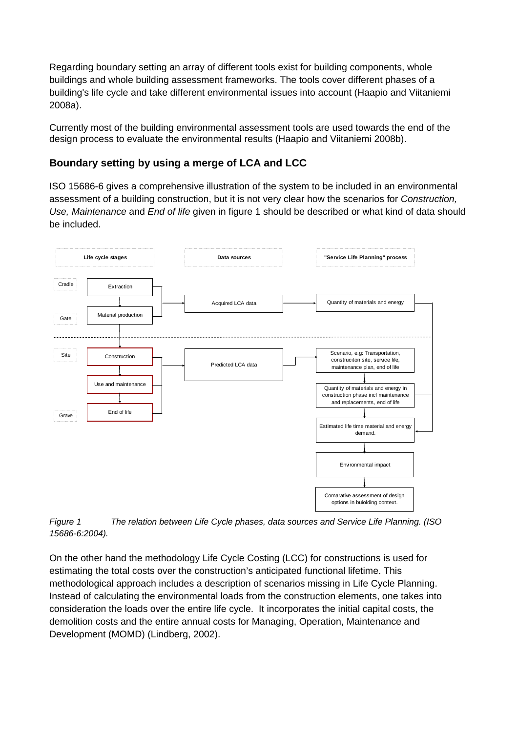Regarding boundary setting an array of different tools exist for building components, whole buildings and whole building assessment frameworks. The tools cover different phases of a building's life cycle and take different environmental issues into account (Haapio and Viitaniemi 2008a).

Currently most of the building environmental assessment tools are used towards the end of the design process to evaluate the environmental results (Haapio and Viitaniemi 2008b).

#### **Boundary setting by using a merge of LCA and LCC**

ISO 15686-6 gives a comprehensive illustration of the system to be included in an environmental assessment of a building construction, but it is not very clear how the scenarios for *Construction, Use, Maintenance* and *End of life* given in figure 1 should be described or what kind of data should be included.



*Figure 1 The relation between Life Cycle phases, data sources and Service Life Planning. (ISO 15686-6:2004).* 

On the other hand the methodology Life Cycle Costing (LCC) for constructions is used for estimating the total costs over the construction's anticipated functional lifetime. This methodological approach includes a description of scenarios missing in Life Cycle Planning. Instead of calculating the environmental loads from the construction elements, one takes into consideration the loads over the entire life cycle. It incorporates the initial capital costs, the demolition costs and the entire annual costs for Managing, Operation, Maintenance and Development (MOMD) (Lindberg, 2002).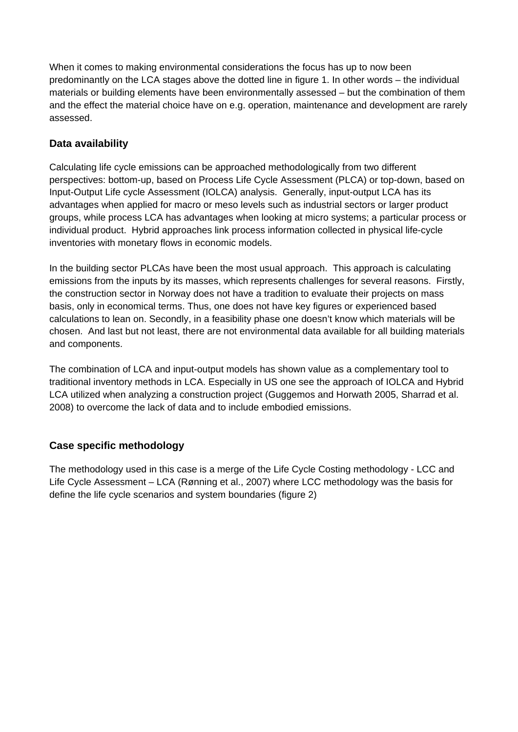When it comes to making environmental considerations the focus has up to now been predominantly on the LCA stages above the dotted line in figure 1. In other words – the individual materials or building elements have been environmentally assessed – but the combination of them and the effect the material choice have on e.g. operation, maintenance and development are rarely assessed.

### **Data availability**

Calculating life cycle emissions can be approached methodologically from two different perspectives: bottom-up, based on Process Life Cycle Assessment (PLCA) or top-down, based on Input-Output Life cycle Assessment (IOLCA) analysis. Generally, input-output LCA has its advantages when applied for macro or meso levels such as industrial sectors or larger product groups, while process LCA has advantages when looking at micro systems; a particular process or individual product. Hybrid approaches link process information collected in physical life-cycle inventories with monetary flows in economic models.

In the building sector PLCAs have been the most usual approach. This approach is calculating emissions from the inputs by its masses, which represents challenges for several reasons. Firstly, the construction sector in Norway does not have a tradition to evaluate their projects on mass basis, only in economical terms. Thus, one does not have key figures or experienced based calculations to lean on. Secondly, in a feasibility phase one doesn't know which materials will be chosen. And last but not least, there are not environmental data available for all building materials and components.

The combination of LCA and input-output models has shown value as a complementary tool to traditional inventory methods in LCA. Especially in US one see the approach of IOLCA and Hybrid LCA utilized when analyzing a construction project (Guggemos and Horwath 2005, Sharrad et al. 2008) to overcome the lack of data and to include embodied emissions.

#### **Case specific methodology**

The methodology used in this case is a merge of the Life Cycle Costing methodology - LCC and Life Cycle Assessment – LCA (Rønning et al., 2007) where LCC methodology was the basis for define the life cycle scenarios and system boundaries (figure 2)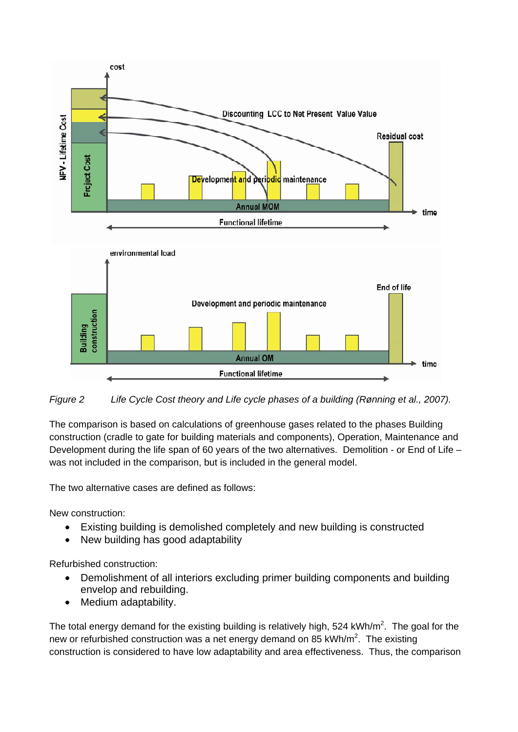

*Figure 2 Life Cycle Cost theory and Life cycle phases of a building (Rønning et al., 2007).* 

The comparison is based on calculations of greenhouse gases related to the phases Building construction (cradle to gate for building materials and components), Operation, Maintenance and Development during the life span of 60 years of the two alternatives. Demolition - or End of Life – was not included in the comparison, but is included in the general model.

The two alternative cases are defined as follows:

New construction:

- Existing building is demolished completely and new building is constructed
- New building has good adaptability

Refurbished construction:

- Demolishment of all interiors excluding primer building components and building envelop and rebuilding.
- Medium adaptability.

The total energy demand for the existing building is relatively high, 524 kWh/m<sup>2</sup>. The goal for the new or refurbished construction was a net energy demand on 85 kWh/m<sup>2</sup>. The existing construction is considered to have low adaptability and area effectiveness. Thus, the comparison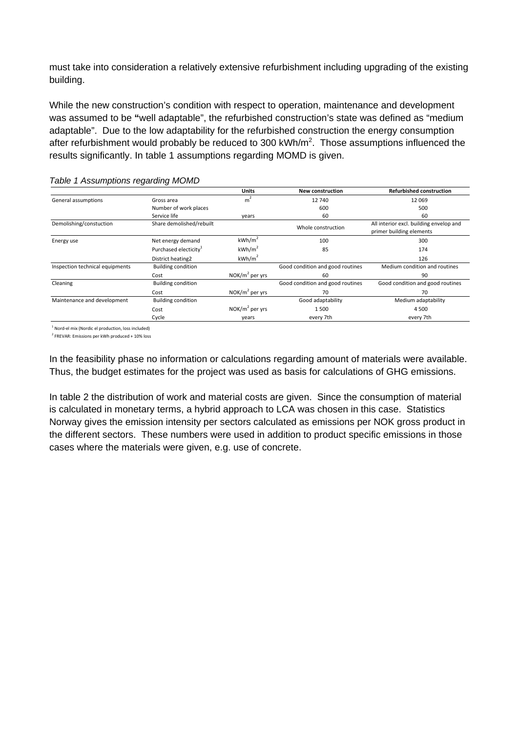must take into consideration a relatively extensive refurbishment including upgrading of the existing building.

While the new construction's condition with respect to operation, maintenance and development was assumed to be **"**well adaptable", the refurbished construction's state was defined as "medium adaptable". Due to the low adaptability for the refurbished construction the energy consumption after refurbishment would probably be reduced to 300 kWh/m<sup>2</sup>. Those assumptions influenced the results significantly. In table 1 assumptions regarding MOMD is given.

|                                 |                                   | <b>Units</b>       | <b>New construction</b>          | <b>Refurbished construction</b>                                     |
|---------------------------------|-----------------------------------|--------------------|----------------------------------|---------------------------------------------------------------------|
| General assumptions             | Gross area                        | m <sup>2</sup>     | 12740                            | 12069                                                               |
|                                 | Number of work places             |                    | 600                              | 500                                                                 |
|                                 | Service life                      | years              | 60                               | 60                                                                  |
| Demolishing/constuction         | Share demolished/rebuilt          |                    | Whole construction               | All interior excl. building envelop and<br>primer building elements |
| Energy use                      | Net energy demand                 | kWh/m <sup>2</sup> | 100                              | 300                                                                 |
|                                 | Purchased electicity <sup>1</sup> | kWh/m <sup>2</sup> | 85                               | 174                                                                 |
|                                 | District heating2                 | kWh/m <sup>2</sup> |                                  | 126                                                                 |
| Inspection technical equipments | <b>Building condition</b>         |                    | Good condition and good routines | Medium condition and routines                                       |
|                                 | Cost                              | $NOK/m2$ per yrs   | 60                               | 90                                                                  |
| Cleaning                        | <b>Building condition</b>         |                    | Good condition and good routines | Good condition and good routines                                    |
|                                 | Cost                              | $NOK/m2$ per yrs   | 70                               | 70                                                                  |
| Maintenance and development     | <b>Building condition</b>         |                    | Good adaptability                | Medium adaptability                                                 |
|                                 | Cost                              | NOK/ $m^2$ per yrs | 1500                             | 4500                                                                |
|                                 | Cycle                             | years              | every 7th                        | every 7th                                                           |

#### *Table 1 Assumptions regarding MOMD*

1 Nord-el mix (Nordic el production, loss included)

2 FREVAR: Emissions per kWh produced + 10% loss

In the feasibility phase no information or calculations regarding amount of materials were available. Thus, the budget estimates for the project was used as basis for calculations of GHG emissions.

In table 2 the distribution of work and material costs are given. Since the consumption of material is calculated in monetary terms, a hybrid approach to LCA was chosen in this case. Statistics Norway gives the emission intensity per sectors calculated as emissions per NOK gross product in the different sectors. These numbers were used in addition to product specific emissions in those cases where the materials were given, e.g. use of concrete.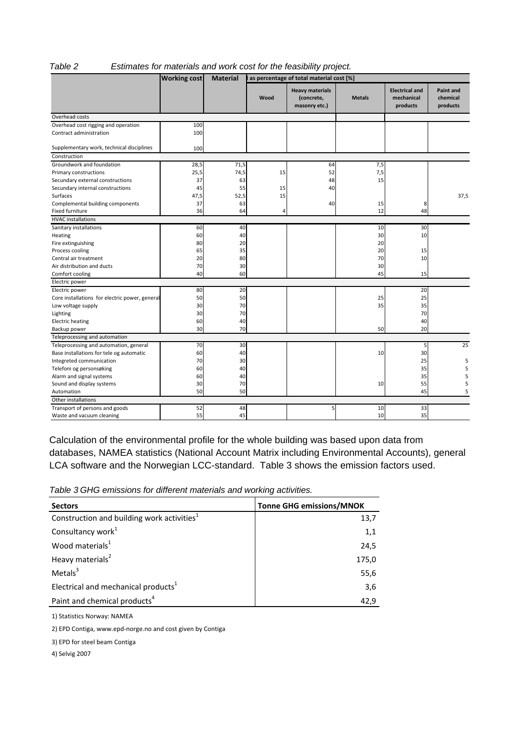#### *Table 2 Estimates for materials and work cost for the feasibility project.*

|                                                | <b>Working cost</b> | <b>Material</b> | as percentage of total material cost [%] |                                                       |               |                                                 |                                          |
|------------------------------------------------|---------------------|-----------------|------------------------------------------|-------------------------------------------------------|---------------|-------------------------------------------------|------------------------------------------|
|                                                |                     |                 | Wood                                     | <b>Heavy materials</b><br>(concrete,<br>masonry etc.) | <b>Metals</b> | <b>Electrical and</b><br>mechanical<br>products | <b>Paint and</b><br>chemical<br>products |
| Overhead costs                                 |                     |                 |                                          |                                                       |               |                                                 |                                          |
| Overhead cost rigging and operation            | 100                 |                 |                                          |                                                       |               |                                                 |                                          |
| Contract administration                        | 100                 |                 |                                          |                                                       |               |                                                 |                                          |
| Supplementary work, technical disciplines      | 100                 |                 |                                          |                                                       |               |                                                 |                                          |
| Construction                                   |                     |                 |                                          |                                                       |               |                                                 |                                          |
| Groundwork and foundation                      | 28,5                | 71,5            |                                          | 64                                                    | 7,5           |                                                 |                                          |
| Primary constructions                          | 25,5                | 74,5            | 15                                       | 52                                                    | 7,5           |                                                 |                                          |
| Secundary external constructions               | 37                  | 63              |                                          | 48                                                    | 15            |                                                 |                                          |
| Secundary internal constructions               | 45                  | 55              | 15                                       | 40                                                    |               |                                                 |                                          |
| Surfaces                                       | 47,5                | 52,5            | 15                                       |                                                       |               |                                                 | 37,5                                     |
| Complemental building components               | 37                  | 63              |                                          | 40                                                    | 15            | 8                                               |                                          |
| Fixed furniture                                | 36                  | 64              | 4                                        |                                                       | 12            | 48                                              |                                          |
| <b>HVAC</b> installations                      |                     |                 |                                          |                                                       |               |                                                 |                                          |
| Sanitary installations                         | 60                  | 40              |                                          |                                                       | 10            | 30                                              |                                          |
| Heating                                        | 60                  | 40              |                                          |                                                       | 30            | 10                                              |                                          |
| Fire extinguishing                             | 80                  | 20              |                                          |                                                       | 20            |                                                 |                                          |
| Process cooling                                | 65                  | 35              |                                          |                                                       | 20            | 15                                              |                                          |
| Central air treatment                          | 20                  | 80              |                                          |                                                       | 70            | 10                                              |                                          |
| Air distribution and ducts                     | 70                  | 30              |                                          |                                                       | 30            |                                                 |                                          |
| Comfort cooling                                | 40                  | 60              |                                          |                                                       | 45            | 15                                              |                                          |
| Electric power                                 |                     |                 |                                          |                                                       |               |                                                 |                                          |
| Electric power                                 | 80                  | 20              |                                          |                                                       |               | 20                                              |                                          |
| Core installations for electric power, general | 50                  | 50              |                                          |                                                       | 25            | 25                                              |                                          |
| Low voltage supply                             | 30                  | 70              |                                          |                                                       | 35            | 35                                              |                                          |
| Lighting                                       | 30                  | 70              |                                          |                                                       |               | 70                                              |                                          |
| <b>Electric heating</b>                        | 60                  | 40              |                                          |                                                       |               | 40                                              |                                          |
| Backup power                                   | 30                  | 70              |                                          |                                                       | 50            | 20                                              |                                          |
| Teleprocessing and automation                  |                     |                 |                                          |                                                       |               |                                                 |                                          |
| Teleprocessing and automation, general         | 70                  | 30              |                                          |                                                       |               | 5                                               | 25                                       |
| Base installations for tele og automatic       | 60                  | 40              |                                          |                                                       | 10            | 30                                              |                                          |
| Integreted communication                       | 70                  | 30              |                                          |                                                       |               | 25                                              | 5                                        |
| Telefoni og personsøking                       | 60                  | 40              |                                          |                                                       |               | 35                                              | 5                                        |
| Alarm and signal systems                       | 60                  | 40              |                                          |                                                       |               | 35                                              | 5                                        |
| Sound and display systems                      | 30                  | 70              |                                          |                                                       | 10            | 55                                              | 5                                        |
| Automation                                     | 50                  | 50              |                                          |                                                       |               | 45                                              | 5                                        |
| Other installations                            |                     |                 |                                          |                                                       |               |                                                 |                                          |
| Transport of persons and goods                 | 52                  | 48              |                                          | $\overline{5}$                                        | 10            | 33                                              |                                          |
| Waste and vacuum cleaning                      | 55                  | 45              |                                          |                                                       | 10            | 35                                              |                                          |

Calculation of the environmental profile for the whole building was based upon data from databases, NAMEA statistics (National Account Matrix including Environmental Accounts), general LCA software and the Norwegian LCC-standard. Table 3 shows the emission factors used.

| Table 3 GHG emissions for different materials and working activities. |  |  |  |
|-----------------------------------------------------------------------|--|--|--|
|-----------------------------------------------------------------------|--|--|--|

| <b>Sectors</b>                                         | <b>Tonne GHG emissions/MNOK</b> |
|--------------------------------------------------------|---------------------------------|
| Construction and building work activities <sup>1</sup> | 13,7                            |
| Consultancy work <sup>1</sup>                          | 1,1                             |
| Wood materials <sup>1</sup>                            | 24,5                            |
| Heavy materials <sup>2</sup>                           | 175,0                           |
| Metals $3$                                             | 55,6                            |
| Electrical and mechanical products <sup>1</sup>        | 3,6                             |
| Paint and chemical products <sup>4</sup>               | 42,9                            |

1) Statistics Norway: NAMEA

2) EPD Contiga, www.epd-norge.no and cost given by Contiga

3) EPD for steel beam Contiga

4) Selvig 2007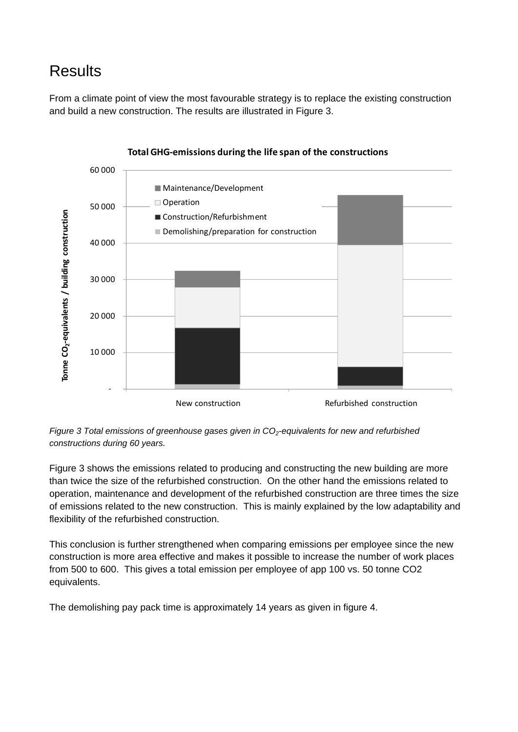# Results

From a climate point of view the most favourable strategy is to replace the existing construction and build a new construction. The results are illustrated in Figure 3.



#### **Total GHG-emissions during the life span of the constructions**

*Figure 3 Total emissions of greenhouse gases given in CO2-equivalents for new and refurbished constructions during 60 years.* 

Figure 3 shows the emissions related to producing and constructing the new building are more than twice the size of the refurbished construction. On the other hand the emissions related to operation, maintenance and development of the refurbished construction are three times the size of emissions related to the new construction. This is mainly explained by the low adaptability and flexibility of the refurbished construction.

This conclusion is further strengthened when comparing emissions per employee since the new construction is more area effective and makes it possible to increase the number of work places from 500 to 600. This gives a total emission per employee of app 100 vs. 50 tonne CO2 equivalents.

The demolishing pay pack time is approximately 14 years as given in figure 4.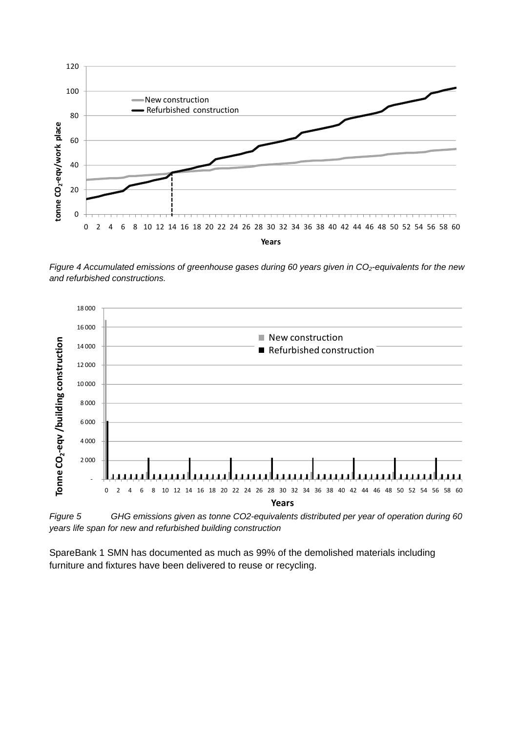

*Figure 4 Accumulated emissions of greenhouse gases during 60 years given in CO<sub>2</sub>-equivalents for the new and refurbished constructions.* 



*Figure 5 GHG emissions given as tonne CO2-equivalents distributed per year of operation during 60 years life span for new and refurbished building construction* 

SpareBank 1 SMN has documented as much as 99% of the demolished materials including furniture and fixtures have been delivered to reuse or recycling.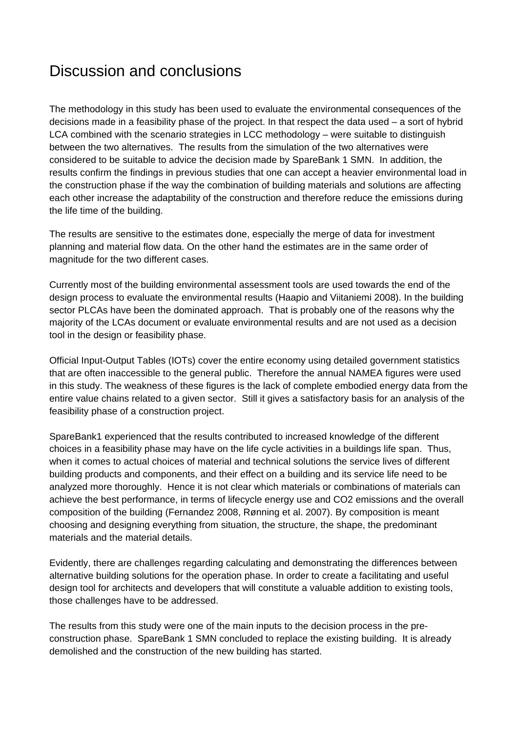## Discussion and conclusions

The methodology in this study has been used to evaluate the environmental consequences of the decisions made in a feasibility phase of the project. In that respect the data used – a sort of hybrid LCA combined with the scenario strategies in LCC methodology – were suitable to distinguish between the two alternatives. The results from the simulation of the two alternatives were considered to be suitable to advice the decision made by SpareBank 1 SMN. In addition, the results confirm the findings in previous studies that one can accept a heavier environmental load in the construction phase if the way the combination of building materials and solutions are affecting each other increase the adaptability of the construction and therefore reduce the emissions during the life time of the building.

The results are sensitive to the estimates done, especially the merge of data for investment planning and material flow data. On the other hand the estimates are in the same order of magnitude for the two different cases.

Currently most of the building environmental assessment tools are used towards the end of the design process to evaluate the environmental results (Haapio and Viitaniemi 2008). In the building sector PLCAs have been the dominated approach. That is probably one of the reasons why the majority of the LCAs document or evaluate environmental results and are not used as a decision tool in the design or feasibility phase.

Official Input-Output Tables (IOTs) cover the entire economy using detailed government statistics that are often inaccessible to the general public. Therefore the annual NAMEA figures were used in this study. The weakness of these figures is the lack of complete embodied energy data from the entire value chains related to a given sector. Still it gives a satisfactory basis for an analysis of the feasibility phase of a construction project.

SpareBank1 experienced that the results contributed to increased knowledge of the different choices in a feasibility phase may have on the life cycle activities in a buildings life span. Thus, when it comes to actual choices of material and technical solutions the service lives of different building products and components, and their effect on a building and its service life need to be analyzed more thoroughly. Hence it is not clear which materials or combinations of materials can achieve the best performance, in terms of lifecycle energy use and CO2 emissions and the overall composition of the building (Fernandez 2008, Rønning et al. 2007). By composition is meant choosing and designing everything from situation, the structure, the shape, the predominant materials and the material details.

Evidently, there are challenges regarding calculating and demonstrating the differences between alternative building solutions for the operation phase. In order to create a facilitating and useful design tool for architects and developers that will constitute a valuable addition to existing tools, those challenges have to be addressed.

The results from this study were one of the main inputs to the decision process in the preconstruction phase. SpareBank 1 SMN concluded to replace the existing building. It is already demolished and the construction of the new building has started.